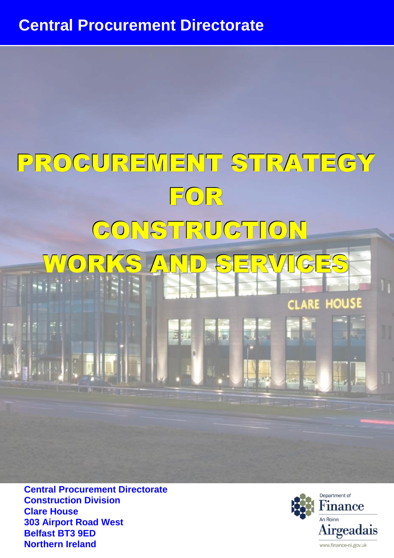# PROCUREMENT STRATEGY FOR CONSTRUCTION WORKS AND SERVICES

**Central Procurement Directorate Construction Division Clare House 303 Airport Road West Belfast BT3 9ED Northern Ireland**



**HOUS** 

**ARE** 

CL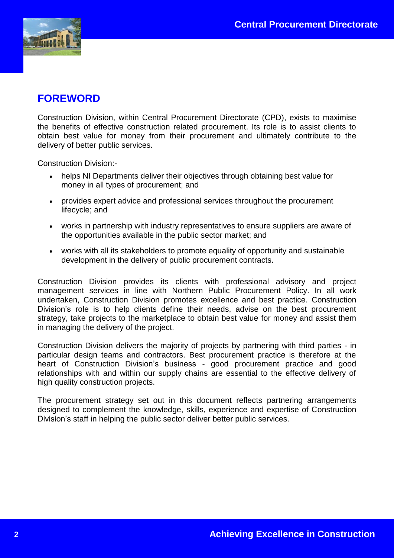

# **FOREWORD**

Construction Division, within Central Procurement Directorate (CPD), exists to maximise the benefits of effective construction related procurement. Its role is to assist clients to obtain best value for money from their procurement and ultimately contribute to the delivery of better public services.

Construction Division:-

- helps NI Departments deliver their objectives through obtaining best value for money in all types of procurement; and
- provides expert advice and professional services throughout the procurement lifecycle; and
- works in partnership with industry representatives to ensure suppliers are aware of the opportunities available in the public sector market; and
- works with all its stakeholders to promote equality of opportunity and sustainable development in the delivery of public procurement contracts.

Construction Division provides its clients with professional advisory and project management services in line with Northern Public Procurement Policy. In all work undertaken, Construction Division promotes excellence and best practice. Construction Division's role is to help clients define their needs, advise on the best procurement strategy, take projects to the marketplace to obtain best value for money and assist them in managing the delivery of the project.

Construction Division delivers the majority of projects by partnering with third parties - in particular design teams and contractors. Best procurement practice is therefore at the heart of Construction Division's business - good procurement practice and good relationships with and within our supply chains are essential to the effective delivery of high quality construction projects.

The procurement strategy set out in this document reflects partnering arrangements designed to complement the knowledge, skills, experience and expertise of Construction Division's staff in helping the public sector deliver better public services.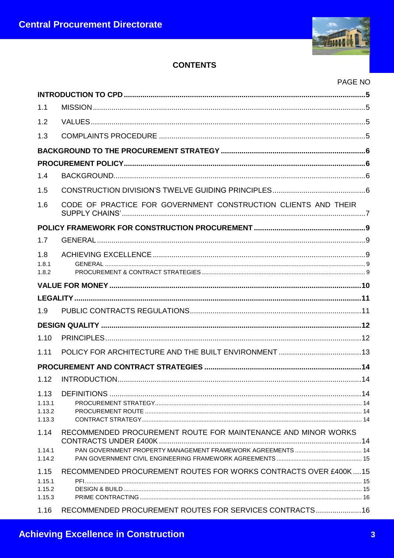

# **CONTENTS**

# PAGE NO

| 1.1                                |                                                                   |  |
|------------------------------------|-------------------------------------------------------------------|--|
| 1.2                                |                                                                   |  |
| 1.3                                |                                                                   |  |
|                                    |                                                                   |  |
|                                    |                                                                   |  |
| 1.4                                |                                                                   |  |
| 1.5                                |                                                                   |  |
| 1.6                                | CODE OF PRACTICE FOR GOVERNMENT CONSTRUCTION CLIENTS AND THEIR    |  |
|                                    |                                                                   |  |
| 1.7                                |                                                                   |  |
| 1.8<br>1.8.1<br>1.8.2              |                                                                   |  |
|                                    |                                                                   |  |
|                                    |                                                                   |  |
| 1.9                                |                                                                   |  |
|                                    |                                                                   |  |
| 1.10                               |                                                                   |  |
| 1.11                               |                                                                   |  |
|                                    |                                                                   |  |
| 1.12                               |                                                                   |  |
| 1.13<br>1.13.1<br>1.13.2<br>1.13.3 |                                                                   |  |
| 1.14                               | RECOMMENDED PROCUREMENT ROUTE FOR MAINTENANCE AND MINOR WORKS     |  |
| 1.14.1<br>1.14.2                   |                                                                   |  |
| 1.15<br>1.15.1<br>1.15.2<br>1.15.3 | RECOMMENDED PROCUREMENT ROUTES FOR WORKS CONTRACTS OVER £400K  15 |  |
| 1.16                               | RECOMMENDED PROCUREMENT ROUTES FOR SERVICES CONTRACTS 16          |  |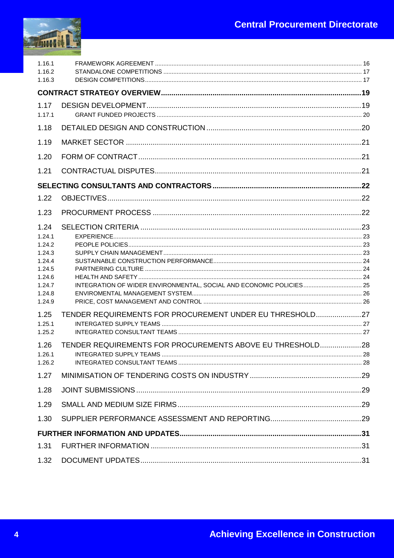

| 1.16.1<br>1.16.2                                                                                                                                       |                                                                                                                       |  |
|--------------------------------------------------------------------------------------------------------------------------------------------------------|-----------------------------------------------------------------------------------------------------------------------|--|
| 1.16.3                                                                                                                                                 |                                                                                                                       |  |
|                                                                                                                                                        |                                                                                                                       |  |
| 1.17<br>1.17.1                                                                                                                                         |                                                                                                                       |  |
| 1.18                                                                                                                                                   |                                                                                                                       |  |
| 1.19                                                                                                                                                   |                                                                                                                       |  |
| 1.20                                                                                                                                                   |                                                                                                                       |  |
| 1.21                                                                                                                                                   |                                                                                                                       |  |
|                                                                                                                                                        |                                                                                                                       |  |
| 1.22                                                                                                                                                   |                                                                                                                       |  |
| 1.23                                                                                                                                                   |                                                                                                                       |  |
| 1.24<br>1.24.1<br>1.24.2<br>1.24.3<br>1.24.4<br>1.24.5<br>1.24.6<br>1.24.7<br>1.24.8<br>1.24.9<br>1.25<br>1.25.1<br>1.25.2<br>1.26<br>1.26.1<br>1.26.2 | TENDER REQUIREMENTS FOR PROCUREMENT UNDER EU THRESHOLD27<br>TENDER REQUIREMENTS FOR PROCUREMENTS ABOVE EU THRESHOLD28 |  |
| 1.27                                                                                                                                                   |                                                                                                                       |  |
| 1.28                                                                                                                                                   |                                                                                                                       |  |
| 1.29                                                                                                                                                   |                                                                                                                       |  |
| 1.30                                                                                                                                                   |                                                                                                                       |  |
|                                                                                                                                                        |                                                                                                                       |  |
| 1.31                                                                                                                                                   |                                                                                                                       |  |
| 1.32                                                                                                                                                   |                                                                                                                       |  |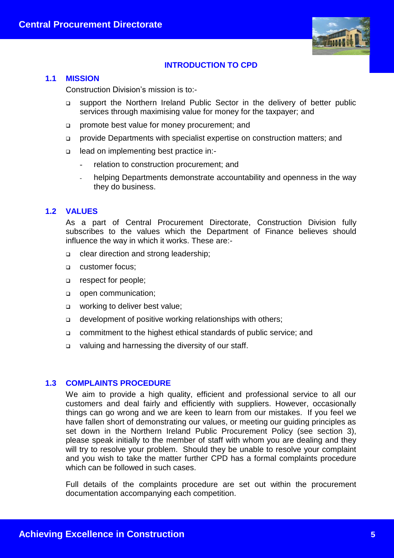

# **INTRODUCTION TO CPD**

#### **1.1 MISSION**

Construction Division's mission is to:-

- support the Northern Ireland Public Sector in the delivery of better public services through maximising value for money for the taxpayer; and
- promote best value for money procurement; and
- provide Departments with specialist expertise on construction matters; and
- lead on implementing best practice in:
	- relation to construction procurement; and
	- helping Departments demonstrate accountability and openness in the way they do business.

#### **1.2 VALUES**

As a part of Central Procurement Directorate, Construction Division fully subscribes to the values which the Department of Finance believes should influence the way in which it works. These are:-

- clear direction and strong leadership;
- customer focus;
- respect for people;
- open communication;
- **u** working to deliver best value;
- development of positive working relationships with others;
- commitment to the highest ethical standards of public service; and
- valuing and harnessing the diversity of our staff.

#### **1.3 COMPLAINTS PROCEDURE**

We aim to provide a high quality, efficient and professional service to all our customers and deal fairly and efficiently with suppliers. However, occasionally things can go wrong and we are keen to learn from our mistakes. If you feel we have fallen short of demonstrating our values, or meeting our guiding principles as set down in the Northern Ireland Public Procurement Policy (see section 3), please speak initially to the member of staff with whom you are dealing and they will try to resolve your problem. Should they be unable to resolve your complaint and you wish to take the matter further CPD has a formal complaints procedure which can be followed in such cases.

Full details of the complaints procedure are set out within the procurement documentation accompanying each competition.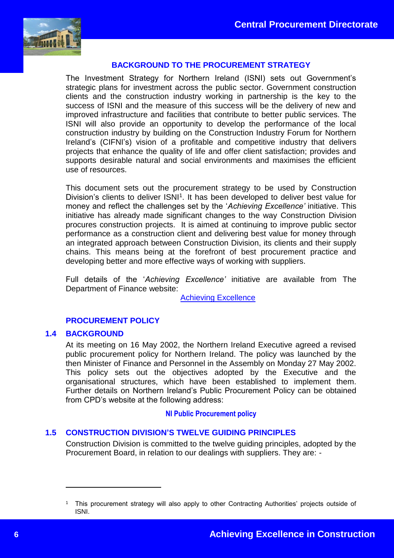

# **BACKGROUND TO THE PROCUREMENT STRATEGY**

The Investment Strategy for Northern Ireland (ISNI) sets out Government's strategic plans for investment across the public sector. Government construction clients and the construction industry working in partnership is the key to the success of ISNI and the measure of this success will be the delivery of new and improved infrastructure and facilities that contribute to better public services. The ISNI will also provide an opportunity to develop the performance of the local construction industry by building on the Construction Industry Forum for Northern Ireland's (CIFNI's) vision of a profitable and competitive industry that delivers projects that enhance the quality of life and offer client satisfaction; provides and supports desirable natural and social environments and maximises the efficient use of resources.

This document sets out the procurement strategy to be used by Construction Division's clients to deliver ISNI<sup>1</sup>. It has been developed to deliver best value for money and reflect the challenges set by the '*Achieving Excellence'* initiative. This initiative has already made significant changes to the way Construction Division procures construction projects. It is aimed at continuing to improve public sector performance as a construction client and delivering best value for money through an integrated approach between Construction Division, its clients and their supply chains. This means being at the forefront of best procurement practice and developing better and more effective ways of working with suppliers.

Full details of the '*Achieving Excellence'* initiative are available from The Department of Finance website:

[Achieving Excellence](https://www.finance-ni.gov.uk/articles/achieving-excellence-construction-initiative)

#### **PROCUREMENT POLICY**

#### **1.4 BACKGROUND**

1

At its meeting on 16 May 2002, the Northern Ireland Executive agreed a revised public procurement policy for Northern Ireland. The policy was launched by the then Minister of Finance and Personnel in the Assembly on Monday 27 May 2002. This policy sets out the objectives adopted by the Executive and the organisational structures, which have been established to implement them. Further details on Northern Ireland's Public Procurement Policy can be obtained from CPD's website at the following address:

#### **[NI Public Procurement policy](https://www.finance-ni.gov.uk/topics/procurement/public-procurement-policy-northern-ireland)**

# **1.5 CONSTRUCTION DIVISION'S TWELVE GUIDING PRINCIPLES**

Construction Division is committed to the twelve guiding principles, adopted by the Procurement Board, in relation to our dealings with suppliers. They are: -

<sup>1</sup> This procurement strategy will also apply to other Contracting Authorities' projects outside of ISNI.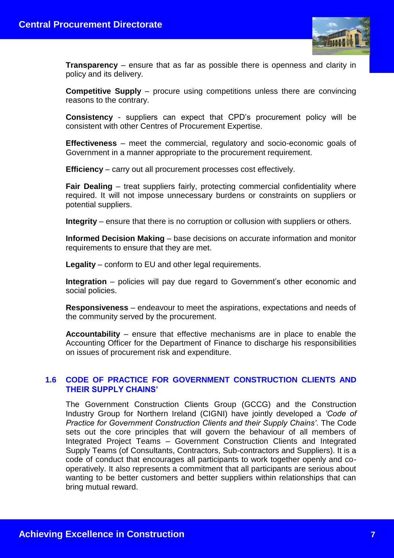

**Transparency** – ensure that as far as possible there is openness and clarity in policy and its delivery.

**Competitive Supply** – procure using competitions unless there are convincing reasons to the contrary.

**Consistency** - suppliers can expect that CPD's procurement policy will be consistent with other Centres of Procurement Expertise.

**Effectiveness** – meet the commercial, regulatory and socio-economic goals of Government in a manner appropriate to the procurement requirement.

**Efficiency** – carry out all procurement processes cost effectively.

**Fair Dealing** – treat suppliers fairly, protecting commercial confidentiality where required. It will not impose unnecessary burdens or constraints on suppliers or potential suppliers.

**Integrity** – ensure that there is no corruption or collusion with suppliers or others.

**Informed Decision Making** – base decisions on accurate information and monitor requirements to ensure that they are met.

**Legality** – conform to EU and other legal requirements.

**Integration** – policies will pay due regard to Government's other economic and social policies.

**Responsiveness** – endeavour to meet the aspirations, expectations and needs of the community served by the procurement.

**Accountability** – ensure that effective mechanisms are in place to enable the Accounting Officer for the Department of Finance to discharge his responsibilities on issues of procurement risk and expenditure.

# **1.6 CODE OF PRACTICE FOR GOVERNMENT CONSTRUCTION CLIENTS AND THEIR SUPPLY CHAINS'**

The Government Construction Clients Group (GCCG) and the Construction Industry Group for Northern Ireland (CIGNI) have jointly developed a *'Code of Practice for Government Construction Clients and their Supply Chains'*. The Code sets out the core principles that will govern the behaviour of all members of Integrated Project Teams – Government Construction Clients and Integrated Supply Teams (of Consultants, Contractors, Sub-contractors and Suppliers). It is a code of conduct that encourages all participants to work together openly and cooperatively. It also represents a commitment that all participants are serious about wanting to be better customers and better suppliers within relationships that can bring mutual reward.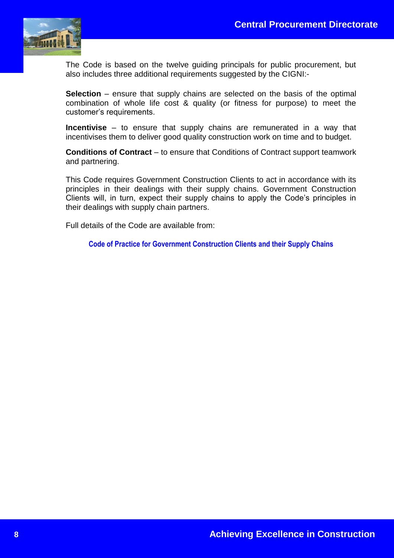

The Code is based on the twelve guiding principals for public procurement, but also includes three additional requirements suggested by the CIGNI:-

**Selection** – ensure that supply chains are selected on the basis of the optimal combination of whole life cost & quality (or fitness for purpose) to meet the customer's requirements.

**Incentivise** – to ensure that supply chains are remunerated in a way that incentivises them to deliver good quality construction work on time and to budget.

**Conditions of Contract** – to ensure that Conditions of Contract support teamwork and partnering.

This Code requires Government Construction Clients to act in accordance with its principles in their dealings with their supply chains. Government Construction Clients will, in turn, expect their supply chains to apply the Code's principles in their dealings with supply chain partners.

Full details of the Code are available from:

**[Code of Practice for Government Construction Clients and their Supply Chains](https://www.finance-ni.gov.uk/articles/code-practice-government-construction-clients-and-their-supply-chains)**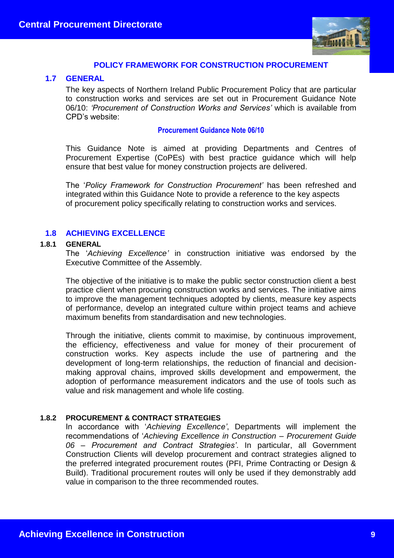

# **POLICY FRAMEWORK FOR CONSTRUCTION PROCUREMENT**

#### **1.7 GENERAL**

The key aspects of Northern Ireland Public Procurement Policy that are particular to construction works and services are set out in Procurement Guidance Note 06/10: *'Procurement of Construction Works and Services'* which is available from CPD's website:

#### **[Procurement Guidance Note 06/10](https://www.finance-ni.gov.uk/publications/procurement-guidance-note-0610-procurement-construction-works-and-services)**

This Guidance Note is aimed at providing Departments and Centres of Procurement Expertise (CoPEs) with best practice guidance which will help ensure that best value for money construction projects are delivered.

The '*Policy Framework for Construction Procurement'* has been refreshed and integrated within this Guidance Note to provide a reference to the key aspects of procurement policy specifically relating to construction works and services.

#### **1.8 ACHIEVING EXCELLENCE**

#### **1.8.1 GENERAL**

The '*Achieving Excellence'* in construction initiative was endorsed by the Executive Committee of the Assembly.

The objective of the initiative is to make the public sector construction client a best practice client when procuring construction works and services. The initiative aims to improve the management techniques adopted by clients, measure key aspects of performance, develop an integrated culture within project teams and achieve maximum benefits from standardisation and new technologies.

Through the initiative, clients commit to maximise, by continuous improvement, the efficiency, effectiveness and value for money of their procurement of construction works. Key aspects include the use of partnering and the development of long-term relationships, the reduction of financial and decisionmaking approval chains, improved skills development and empowerment, the adoption of performance measurement indicators and the use of tools such as value and risk management and whole life costing.

#### **1.8.2 PROCUREMENT & CONTRACT STRATEGIES**

In accordance with '*Achieving Excellence'*, Departments will implement the recommendations of '*Achieving Excellence in Construction – Procurement Guide 06 – Procurement and Contract Strategies'*. In particular, all Government Construction Clients will develop procurement and contract strategies aligned to the preferred integrated procurement routes (PFI, Prime Contracting or Design & Build). Traditional procurement routes will only be used if they demonstrably add value in comparison to the three recommended routes.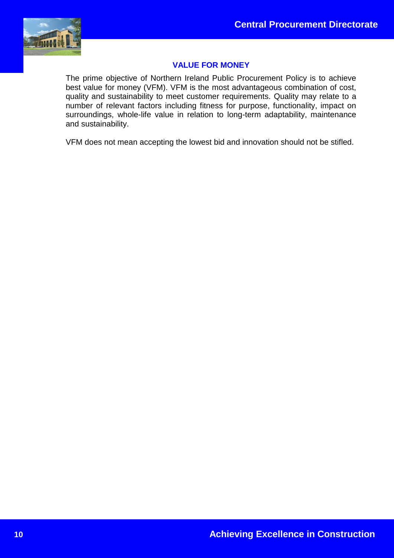

# **VALUE FOR MONEY**

The prime objective of Northern Ireland Public Procurement Policy is to achieve best value for money (VFM). VFM is the most advantageous combination of cost, quality and sustainability to meet customer requirements. Quality may relate to a number of relevant factors including fitness for purpose, functionality, impact on surroundings, whole-life value in relation to long-term adaptability, maintenance and sustainability.

VFM does not mean accepting the lowest bid and innovation should not be stifled.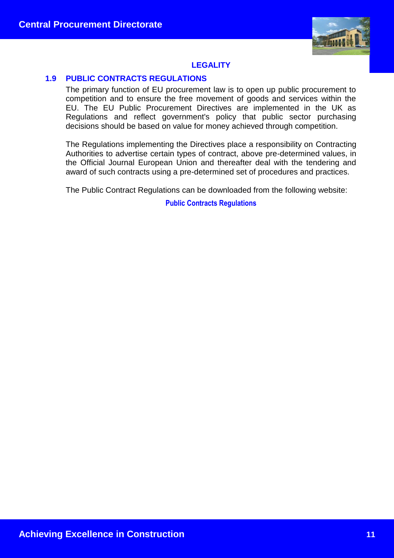

# **LEGALITY**

# **1.9 PUBLIC CONTRACTS REGULATIONS**

The primary function of EU procurement law is to open up public procurement to competition and to ensure the free movement of goods and services within the EU. The EU Public Procurement Directives are implemented in the UK as Regulations and reflect government's policy that public sector purchasing decisions should be based on value for money achieved through competition.

The Regulations implementing the Directives place a responsibility on Contracting Authorities to advertise certain types of contract, above pre-determined values, in the Official Journal European Union and thereafter deal with the tendering and award of such contracts using a pre-determined set of procedures and practices.

The Public Contract Regulations can be downloaded from the following website:

**[Public Contracts Regulations](http://www.legislation.gov.uk/uksi/2015/102/pdfs/uksi_20150102_en.pdf)**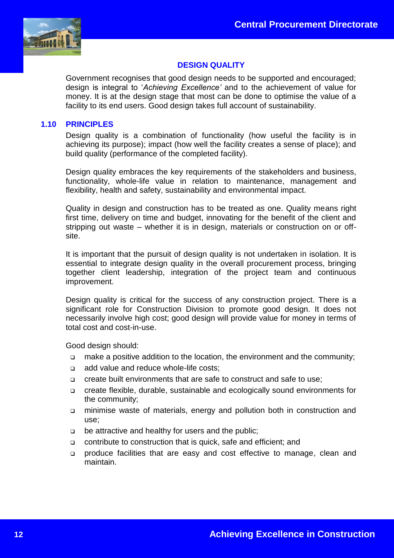

# **DESIGN QUALITY**

Government recognises that good design needs to be supported and encouraged; design is integral to '*Achieving Excellence'* and to the achievement of value for money. It is at the design stage that most can be done to optimise the value of a facility to its end users. Good design takes full account of sustainability.

#### **1.10 PRINCIPLES**

Design quality is a combination of functionality (how useful the facility is in achieving its purpose); impact (how well the facility creates a sense of place); and build quality (performance of the completed facility).

Design quality embraces the key requirements of the stakeholders and business, functionality, whole-life value in relation to maintenance, management and flexibility, health and safety, sustainability and environmental impact.

Quality in design and construction has to be treated as one. Quality means right first time, delivery on time and budget, innovating for the benefit of the client and stripping out waste – whether it is in design, materials or construction on or offsite.

It is important that the pursuit of design quality is not undertaken in isolation. It is essential to integrate design quality in the overall procurement process, bringing together client leadership, integration of the project team and continuous improvement.

Design quality is critical for the success of any construction project. There is a significant role for Construction Division to promote good design. It does not necessarily involve high cost; good design will provide value for money in terms of total cost and cost-in-use.

Good design should:

- make a positive addition to the location, the environment and the community;
- □ add value and reduce whole-life costs:
- create built environments that are safe to construct and safe to use;
- create flexible, durable, sustainable and ecologically sound environments for the community;
- minimise waste of materials, energy and pollution both in construction and use;
- be attractive and healthy for users and the public;
- contribute to construction that is quick, safe and efficient; and
- produce facilities that are easy and cost effective to manage, clean and maintain.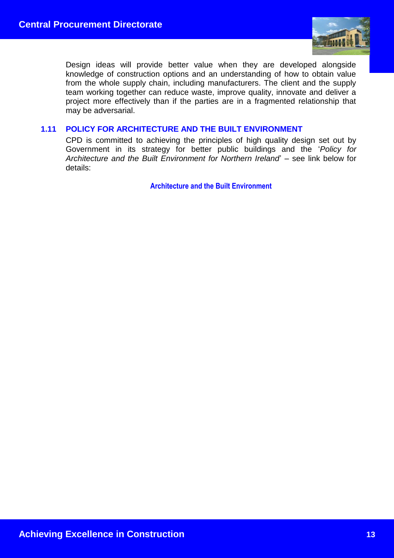

Design ideas will provide better value when they are developed alongside knowledge of construction options and an understanding of how to obtain value from the whole supply chain, including manufacturers. The client and the supply team working together can reduce waste, improve quality, innovate and deliver a project more effectively than if the parties are in a fragmented relationship that may be adversarial.

#### **1.11 POLICY FOR ARCHITECTURE AND THE BUILT ENVIRONMENT**

CPD is committed to achieving the principles of high quality design set out by Government in its strategy for better public buildings and the '*Policy for Architecture and the Built Environment for Northern Ireland*' – see link below for details:

**[Architecture and the Built Environment](https://www.communities-ni.gov.uk/articles/architecture-and-built-environment)**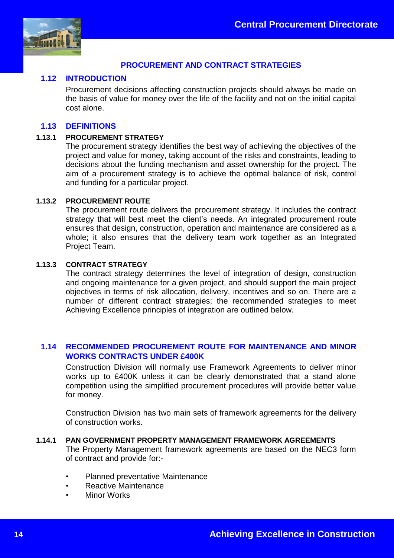

# **PROCUREMENT AND CONTRACT STRATEGIES**

#### **1.12 INTRODUCTION**

Procurement decisions affecting construction projects should always be made on the basis of value for money over the life of the facility and not on the initial capital cost alone.

#### **1.13 DEFINITIONS**

#### **1.13.1 PROCUREMENT STRATEGY**

The procurement strategy identifies the best way of achieving the objectives of the project and value for money, taking account of the risks and constraints, leading to decisions about the funding mechanism and asset ownership for the project. The aim of a procurement strategy is to achieve the optimal balance of risk, control and funding for a particular project.

#### **1.13.2 PROCUREMENT ROUTE**

The procurement route delivers the procurement strategy. It includes the contract strategy that will best meet the client's needs. An integrated procurement route ensures that design, construction, operation and maintenance are considered as a whole; it also ensures that the delivery team work together as an Integrated Project Team.

#### **1.13.3 CONTRACT STRATEGY**

The contract strategy determines the level of integration of design, construction and ongoing maintenance for a given project, and should support the main project objectives in terms of risk allocation, delivery, incentives and so on. There are a number of different contract strategies; the recommended strategies to meet Achieving Excellence principles of integration are outlined below.

# **1.14 RECOMMENDED PROCUREMENT ROUTE FOR MAINTENANCE AND MINOR WORKS CONTRACTS UNDER £400K**

Construction Division will normally use Framework Agreements to deliver minor works up to £400K unless it can be clearly demonstrated that a stand alone competition using the simplified procurement procedures will provide better value for money.

Construction Division has two main sets of framework agreements for the delivery of construction works.

#### **1.14.1 PAN GOVERNMENT PROPERTY MANAGEMENT FRAMEWORK AGREEMENTS**

The Property Management framework agreements are based on the NEC3 form of contract and provide for:-

- Planned preventative Maintenance
- Reactive Maintenance
- **Minor Works**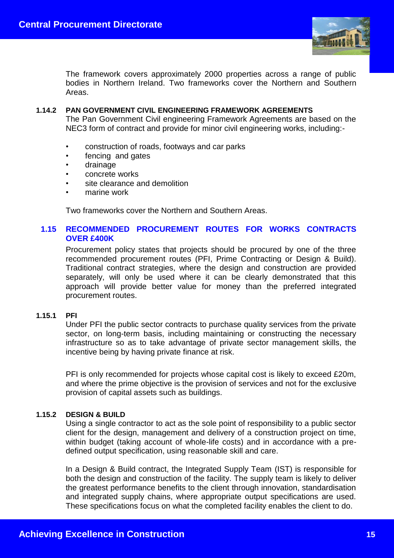

The framework covers approximately 2000 properties across a range of public bodies in Northern Ireland. Two frameworks cover the Northern and Southern Areas.

#### **1.14.2 PAN GOVERNMENT CIVIL ENGINEERING FRAMEWORK AGREEMENTS**

The Pan Government Civil engineering Framework Agreements are based on the NEC3 form of contract and provide for minor civil engineering works, including:-

- construction of roads, footways and car parks
- fencing and gates
- drainage
- concrete works
- site clearance and demolition
- marine work

Two frameworks cover the Northern and Southern Areas.

# **1.15 RECOMMENDED PROCUREMENT ROUTES FOR WORKS CONTRACTS OVER £400K**

Procurement policy states that projects should be procured by one of the three recommended procurement routes (PFI, Prime Contracting or Design & Build). Traditional contract strategies, where the design and construction are provided separately, will only be used where it can be clearly demonstrated that this approach will provide better value for money than the preferred integrated procurement routes.

#### **1.15.1 PFI**

Under PFI the public sector contracts to purchase quality services from the private sector, on long-term basis, including maintaining or constructing the necessary infrastructure so as to take advantage of private sector management skills, the incentive being by having private finance at risk.

PFI is only recommended for projects whose capital cost is likely to exceed £20m, and where the prime objective is the provision of services and not for the exclusive provision of capital assets such as buildings.

#### **1.15.2 DESIGN & BUILD**

Using a single contractor to act as the sole point of responsibility to a public sector client for the design, management and delivery of a construction project on time, within budget (taking account of whole-life costs) and in accordance with a predefined output specification, using reasonable skill and care.

In a Design & Build contract, the Integrated Supply Team (IST) is responsible for both the design and construction of the facility. The supply team is likely to deliver the greatest performance benefits to the client through innovation, standardisation and integrated supply chains, where appropriate output specifications are used. These specifications focus on what the completed facility enables the client to do.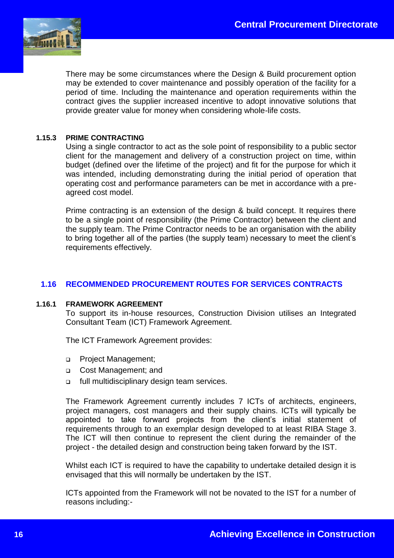

There may be some circumstances where the Design & Build procurement option may be extended to cover maintenance and possibly operation of the facility for a period of time. Including the maintenance and operation requirements within the contract gives the supplier increased incentive to adopt innovative solutions that provide greater value for money when considering whole-life costs.

#### **1.15.3 PRIME CONTRACTING**

Using a single contractor to act as the sole point of responsibility to a public sector client for the management and delivery of a construction project on time, within budget (defined over the lifetime of the project) and fit for the purpose for which it was intended, including demonstrating during the initial period of operation that operating cost and performance parameters can be met in accordance with a preagreed cost model.

Prime contracting is an extension of the design & build concept. It requires there to be a single point of responsibility (the Prime Contractor) between the client and the supply team. The Prime Contractor needs to be an organisation with the ability to bring together all of the parties (the supply team) necessary to meet the client's requirements effectively.

# **1.16 RECOMMENDED PROCUREMENT ROUTES FOR SERVICES CONTRACTS**

#### **1.16.1 FRAMEWORK AGREEMENT**

To support its in-house resources, Construction Division utilises an Integrated Consultant Team (ICT) Framework Agreement.

The ICT Framework Agreement provides:

- **Project Management;**
- Cost Management; and
- full multidisciplinary design team services.

The Framework Agreement currently includes 7 ICTs of architects, engineers, project managers, cost managers and their supply chains. ICTs will typically be appointed to take forward projects from the client's initial statement of requirements through to an exemplar design developed to at least RIBA Stage 3. The ICT will then continue to represent the client during the remainder of the project - the detailed design and construction being taken forward by the IST.

Whilst each ICT is required to have the capability to undertake detailed design it is envisaged that this will normally be undertaken by the IST.

ICTs appointed from the Framework will not be novated to the IST for a number of reasons including:-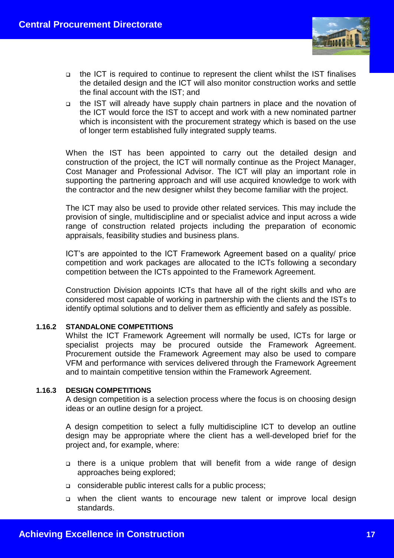

- the ICT is required to continue to represent the client whilst the IST finalises the detailed design and the ICT will also monitor construction works and settle the final account with the IST; and
- the IST will already have supply chain partners in place and the novation of the ICT would force the IST to accept and work with a new nominated partner which is inconsistent with the procurement strategy which is based on the use of longer term established fully integrated supply teams.

When the IST has been appointed to carry out the detailed design and construction of the project, the ICT will normally continue as the Project Manager, Cost Manager and Professional Advisor. The ICT will play an important role in supporting the partnering approach and will use acquired knowledge to work with the contractor and the new designer whilst they become familiar with the project.

The ICT may also be used to provide other related services. This may include the provision of single, multidiscipline and or specialist advice and input across a wide range of construction related projects including the preparation of economic appraisals, feasibility studies and business plans.

ICT's are appointed to the ICT Framework Agreement based on a quality/ price competition and work packages are allocated to the ICTs following a secondary competition between the ICTs appointed to the Framework Agreement.

Construction Division appoints ICTs that have all of the right skills and who are considered most capable of working in partnership with the clients and the ISTs to identify optimal solutions and to deliver them as efficiently and safely as possible.

#### **1.16.2 STANDALONE COMPETITIONS**

Whilst the ICT Framework Agreement will normally be used, ICTs for large or specialist projects may be procured outside the Framework Agreement. Procurement outside the Framework Agreement may also be used to compare VFM and performance with services delivered through the Framework Agreement and to maintain competitive tension within the Framework Agreement.

#### **1.16.3 DESIGN COMPETITIONS**

A design competition is a selection process where the focus is on choosing design ideas or an outline design for a project.

A design competition to select a fully multidiscipline ICT to develop an outline design may be appropriate where the client has a well-developed brief for the project and, for example, where:

- there is a unique problem that will benefit from a wide range of design approaches being explored;
- considerable public interest calls for a public process;
- when the client wants to encourage new talent or improve local design standards.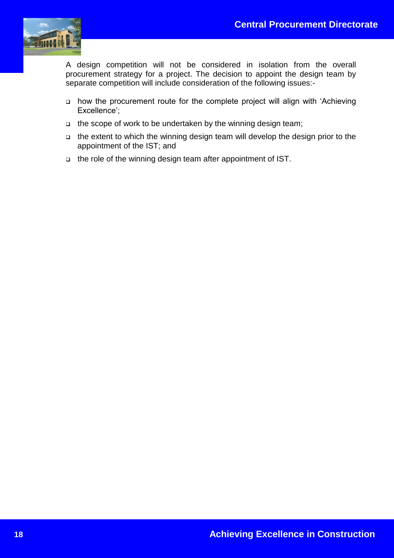

A design competition will not be considered in isolation from the overall procurement strategy for a project. The decision to appoint the design team by separate competition will include consideration of the following issues:-

- how the procurement route for the complete project will align with 'Achieving Excellence';
- $\Box$  the scope of work to be undertaken by the winning design team;
- the extent to which the winning design team will develop the design prior to the appointment of the IST; and
- the role of the winning design team after appointment of IST.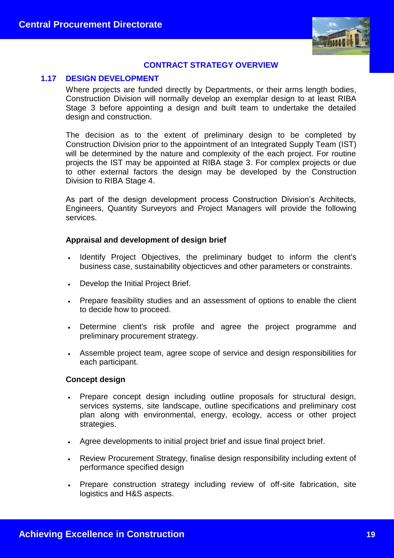

# **CONTRACT STRATEGY OVERVIEW**

#### **1.17 DESIGN DEVELOPMENT**

Where projects are funded directly by Departments, or their arms length bodies, Construction Division will normally develop an exemplar design to at least RIBA Stage 3 before appointing a design and built team to undertake the detailed design and construction.

The decision as to the extent of preliminary design to be completed by Construction Division prior to the appointment of an Integrated Supply Team (IST) will be determined by the nature and complexity of the each project. For routine projects the IST may be appointed at RIBA stage 3. For complex projects or due to other external factors the design may be developed by the Construction Division to RIBA Stage 4.

As part of the design development process Construction Division's Architects, Engineers, Quantity Surveyors and Project Managers will provide the following services.

#### **Appraisal and development of design brief**

- Identify Project Objectives, the preliminary budget to inform the clent's business case, sustainability objecticves and other parameters or constraints.
- Develop the Initial Project Brief.
- Prepare feasibility studies and an assessment of options to enable the client to decide how to proceed.
- Determine client's risk profile and agree the project programme and preliminary procurement strategy.
- Assemble project team, agree scope of service and design responsibilities for each participant.

#### **Concept design**

- Prepare concept design including outline proposals for structural design, services systems, site landscape, outline specifications and preliminary cost plan along with environmental, energy, ecology, access or other project strategies.
- Agree developments to initial project brief and issue final project brief.
- Review Procurement Strategy, finalise design responsibility including extent of performance specified design
- Prepare construction strategy including review of off-site fabrication, site logistics and H&S aspects.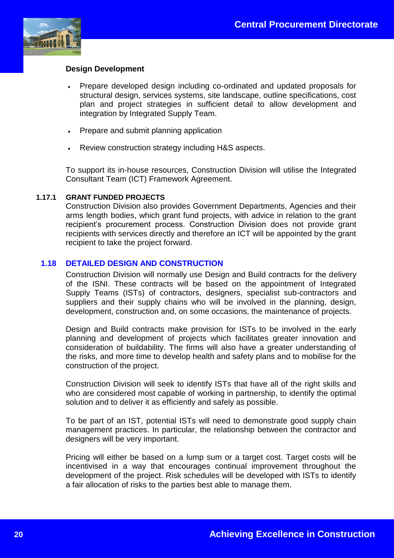

# **Design Development**

- Prepare developed design including co-ordinated and updated proposals for structural design, services systems, site landscape, outline specifications, cost plan and project strategies in sufficient detail to allow development and integration by Integrated Supply Team.
- Prepare and submit planning application
- Review construction strategy including H&S aspects.

To support its in-house resources, Construction Division will utilise the Integrated Consultant Team (ICT) Framework Agreement.

#### **1.17.1 GRANT FUNDED PROJECTS**

Construction Division also provides Government Departments, Agencies and their arms length bodies, which grant fund projects, with advice in relation to the grant recipient's procurement process. Construction Division does not provide grant recipients with services directly and therefore an ICT will be appointed by the grant recipient to take the project forward.

# **1.18 DETAILED DESIGN AND CONSTRUCTION**

Construction Division will normally use Design and Build contracts for the delivery of the ISNI. These contracts will be based on the appointment of Integrated Supply Teams (ISTs) of contractors, designers, specialist sub-contractors and suppliers and their supply chains who will be involved in the planning, design, development, construction and, on some occasions, the maintenance of projects.

Design and Build contracts make provision for ISTs to be involved in the early planning and development of projects which facilitates greater innovation and consideration of buildability. The firms will also have a greater understanding of the risks, and more time to develop health and safety plans and to mobilise for the construction of the project.

Construction Division will seek to identify ISTs that have all of the right skills and who are considered most capable of working in partnership, to identify the optimal solution and to deliver it as efficiently and safely as possible.

To be part of an IST, potential ISTs will need to demonstrate good supply chain management practices. In particular, the relationship between the contractor and designers will be very important.

Pricing will either be based on a lump sum or a target cost. Target costs will be incentivised in a way that encourages continual improvement throughout the development of the project. Risk schedules will be developed with ISTs to identify a fair allocation of risks to the parties best able to manage them.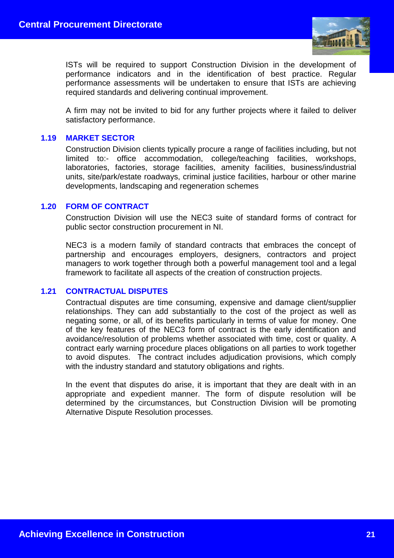

ISTs will be required to support Construction Division in the development of performance indicators and in the identification of best practice. Regular performance assessments will be undertaken to ensure that ISTs are achieving required standards and delivering continual improvement.

A firm may not be invited to bid for any further projects where it failed to deliver satisfactory performance.

#### **1.19 MARKET SECTOR**

Construction Division clients typically procure a range of facilities including, but not limited to:- office accommodation, college/teaching facilities, workshops, laboratories, factories, storage facilities, amenity facilities, business/industrial units, site/park/estate roadways, criminal justice facilities, harbour or other marine developments, landscaping and regeneration schemes

#### **1.20 FORM OF CONTRACT**

Construction Division will use the NEC3 suite of standard forms of contract for public sector construction procurement in NI.

NEC3 is a modern family of standard contracts that embraces the concept of partnership and encourages employers, designers, contractors and project managers to work together through both a powerful management tool and a legal framework to facilitate all aspects of the creation of construction projects.

#### **1.21 CONTRACTUAL DISPUTES**

Contractual disputes are time consuming, expensive and damage client/supplier relationships. They can add substantially to the cost of the project as well as negating some, or all, of its benefits particularly in terms of value for money. One of the key features of the NEC3 form of contract is the early identification and avoidance/resolution of problems whether associated with time, cost or quality. A contract early warning procedure places obligations on all parties to work together to avoid disputes. The contract includes adjudication provisions, which comply with the industry standard and statutory obligations and rights.

In the event that disputes do arise, it is important that they are dealt with in an appropriate and expedient manner. The form of dispute resolution will be determined by the circumstances, but Construction Division will be promoting Alternative Dispute Resolution processes.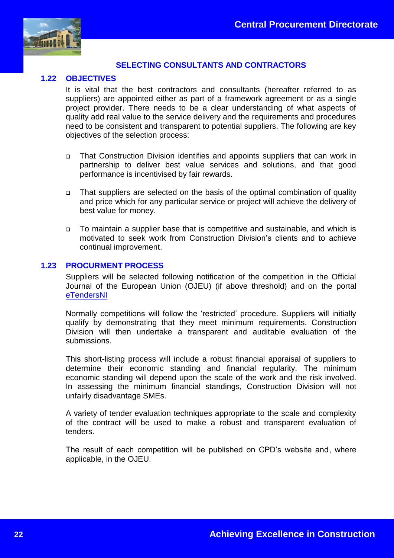

# **SELECTING CONSULTANTS AND CONTRACTORS**

#### **1.22 OBJECTIVES**

It is vital that the best contractors and consultants (hereafter referred to as suppliers) are appointed either as part of a framework agreement or as a single project provider. There needs to be a clear understanding of what aspects of quality add real value to the service delivery and the requirements and procedures need to be consistent and transparent to potential suppliers. The following are key objectives of the selection process:

- That Construction Division identifies and appoints suppliers that can work in partnership to deliver best value services and solutions, and that good performance is incentivised by fair rewards.
- That suppliers are selected on the basis of the optimal combination of quality and price which for any particular service or project will achieve the delivery of best value for money.
- To maintain a supplier base that is competitive and sustainable, and which is motivated to seek work from Construction Division's clients and to achieve continual improvement.

#### **1.23 PROCURMENT PROCESS**

Suppliers will be selected following notification of the competition in the Official Journal of the European Union (OJEU) (if above threshold) and on the portal [eTendersNI](https://etendersni.gov.uk/epps/home.do)

Normally competitions will follow the 'restricted' procedure. Suppliers will initially qualify by demonstrating that they meet minimum requirements. Construction Division will then undertake a transparent and auditable evaluation of the submissions.

This short-listing process will include a robust financial appraisal of suppliers to determine their economic standing and financial regularity. The minimum economic standing will depend upon the scale of the work and the risk involved. In assessing the minimum financial standings, Construction Division will not unfairly disadvantage SMEs.

A variety of tender evaluation techniques appropriate to the scale and complexity of the contract will be used to make a robust and transparent evaluation of tenders.

The result of each competition will be published on CPD's website and, where applicable, in the OJEU.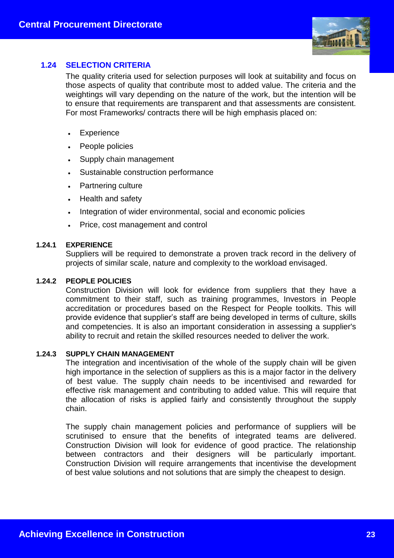

# **1.24 SELECTION CRITERIA**

The quality criteria used for selection purposes will look at suitability and focus on those aspects of quality that contribute most to added value. The criteria and the weightings will vary depending on the nature of the work, but the intention will be to ensure that requirements are transparent and that assessments are consistent. For most Frameworks/ contracts there will be high emphasis placed on:

- Experience
- People policies
- Supply chain management
- Sustainable construction performance
- Partnering culture
- Health and safety
- Integration of wider environmental, social and economic policies
- Price, cost management and control

#### **1.24.1 EXPERIENCE**

Suppliers will be required to demonstrate a proven track record in the delivery of projects of similar scale, nature and complexity to the workload envisaged.

#### **1.24.2 PEOPLE POLICIES**

Construction Division will look for evidence from suppliers that they have a commitment to their staff, such as training programmes, Investors in People accreditation or procedures based on the Respect for People toolkits. This will provide evidence that supplier's staff are being developed in terms of culture, skills and competencies. It is also an important consideration in assessing a supplier's ability to recruit and retain the skilled resources needed to deliver the work.

#### **1.24.3 SUPPLY CHAIN MANAGEMENT**

The integration and incentivisation of the whole of the supply chain will be given high importance in the selection of suppliers as this is a major factor in the delivery of best value. The supply chain needs to be incentivised and rewarded for effective risk management and contributing to added value. This will require that the allocation of risks is applied fairly and consistently throughout the supply chain.

The supply chain management policies and performance of suppliers will be scrutinised to ensure that the benefits of integrated teams are delivered. Construction Division will look for evidence of good practice. The relationship between contractors and their designers will be particularly important. Construction Division will require arrangements that incentivise the development of best value solutions and not solutions that are simply the cheapest to design.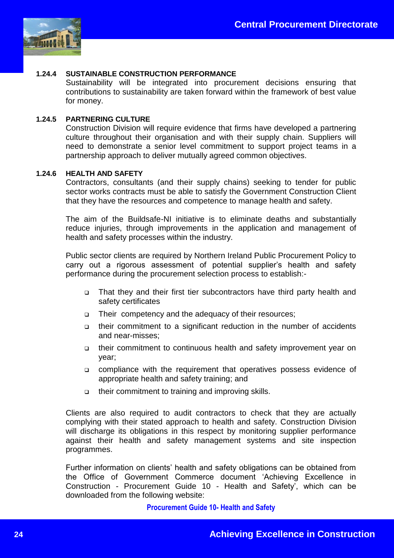

#### **1.24.4 SUSTAINABLE CONSTRUCTION PERFORMANCE**

Sustainability will be integrated into procurement decisions ensuring that contributions to sustainability are taken forward within the framework of best value for money.

#### **1.24.5 PARTNERING CULTURE**

Construction Division will require evidence that firms have developed a partnering culture throughout their organisation and with their supply chain. Suppliers will need to demonstrate a senior level commitment to support project teams in a partnership approach to deliver mutually agreed common objectives.

#### **1.24.6 HEALTH AND SAFETY**

Contractors, consultants (and their supply chains) seeking to tender for public sector works contracts must be able to satisfy the Government Construction Client that they have the resources and competence to manage health and safety.

The aim of the Buildsafe-NI initiative is to eliminate deaths and substantially reduce injuries, through improvements in the application and management of health and safety processes within the industry.

Public sector clients are required by Northern Ireland Public Procurement Policy to carry out a rigorous assessment of potential supplier's health and safety performance during the procurement selection process to establish:-

- That they and their first tier subcontractors have third party health and safety certificates
- □ Their competency and the adequacy of their resources;
- their commitment to a significant reduction in the number of accidents and near-misses;
- their commitment to continuous health and safety improvement year on year;
- compliance with the requirement that operatives possess evidence of appropriate health and safety training; and
- $\Box$  their commitment to training and improving skills.

Clients are also required to audit contractors to check that they are actually complying with their stated approach to health and safety. Construction Division will discharge its obligations in this respect by monitoring supplier performance against their health and safety management systems and site inspection programmes.

Further information on clients' health and safety obligations can be obtained from the Office of Government Commerce document 'Achieving Excellence in Construction - Procurement Guide 10 - Health and Safety', which can be downloaded from the following website:

**[Procurement Guide 10-](http://webarchive.nationalarchives.gov.uk/20110601212617/http:/www.ogc.gov.uk/ppm_documents_construction.asp) Health and Safety**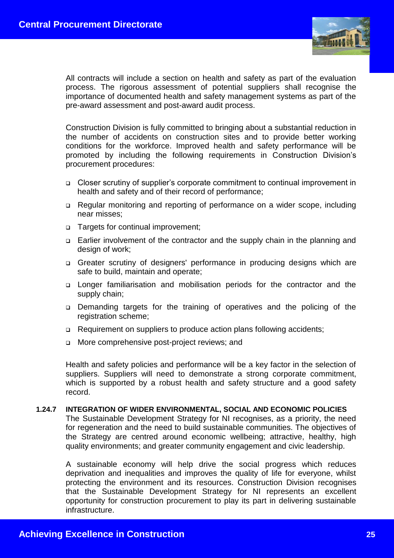

All contracts will include a section on health and safety as part of the evaluation process. The rigorous assessment of potential suppliers shall recognise the importance of documented health and safety management systems as part of the pre-award assessment and post-award audit process.

Construction Division is fully committed to bringing about a substantial reduction in the number of accidents on construction sites and to provide better working conditions for the workforce. Improved health and safety performance will be promoted by including the following requirements in Construction Division's procurement procedures:

- Closer scrutiny of supplier's corporate commitment to continual improvement in health and safety and of their record of performance;
- Regular monitoring and reporting of performance on a wider scope, including near misses;
- □ Targets for continual improvement;
- Earlier involvement of the contractor and the supply chain in the planning and design of work;
- Greater scrutiny of designers' performance in producing designs which are safe to build, maintain and operate;
- Longer familiarisation and mobilisation periods for the contractor and the supply chain;
- Demanding targets for the training of operatives and the policing of the registration scheme:
- □ Requirement on suppliers to produce action plans following accidents;
- More comprehensive post-project reviews; and

Health and safety policies and performance will be a key factor in the selection of suppliers. Suppliers will need to demonstrate a strong corporate commitment, which is supported by a robust health and safety structure and a good safety record.

#### **1.24.7 INTEGRATION OF WIDER ENVIRONMENTAL, SOCIAL AND ECONOMIC POLICIES**

The Sustainable Development Strategy for NI recognises, as a priority, the need for regeneration and the need to build sustainable communities. The objectives of the Strategy are centred around economic wellbeing; attractive, healthy, high quality environments; and greater community engagement and civic leadership.

A sustainable economy will help drive the social progress which reduces deprivation and inequalities and improves the quality of life for everyone, whilst protecting the environment and its resources. Construction Division recognises that the Sustainable Development Strategy for NI represents an excellent opportunity for construction procurement to play its part in delivering sustainable infrastructure.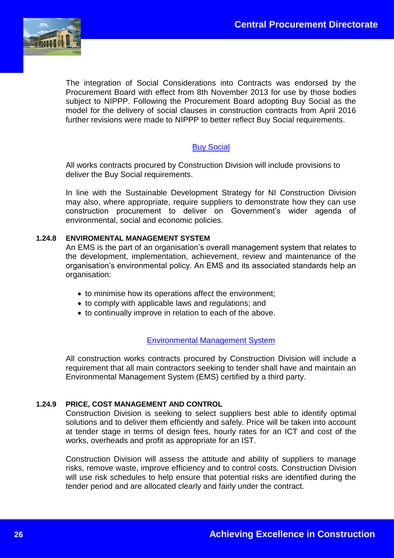

The integration of Social Considerations into Contracts was endorsed by the Procurement Board with effect from 8th November 2013 for use by those bodies subject to NIPPP. Following the Procurement Board adopting Buy Social as the model for the delivery of social clauses in construction contracts from April 2016 further revisions were made to NIPPP to better reflect Buy Social requirements.

# **[Buy Social](https://buysocialni.org/)**

All works contracts procured by Construction Division will include provisions to deliver the Buy Social requirements.

In line with the Sustainable Development Strategy for NI Construction Division may also, where appropriate, require suppliers to demonstrate how they can use construction procurement to deliver on Government's wider agenda of environmental, social and economic policies.

#### **1.24.8 ENVIROMENTAL MANAGEMENT SYSTEM**

An EMS is the part of an organisation's overall management system that relates to the development, implementation, achievement, review and maintenance of the organisation's environmental policy. An EMS and its associated standards help an organisation:

- to minimise how its operations affect the environment;
- to comply with applicable laws and regulations; and
- to continually improve in relation to each of the above.

# [Environmental Management System](https://www.finance-ni.gov.uk/publications/environmental-management-systems-notification-requirement)

All construction works contracts procured by Construction Division will include a requirement that all main contractors seeking to tender shall have and maintain an Environmental Management System (EMS) certified by a third party.

#### **1.24.9 PRICE, COST MANAGEMENT AND CONTROL**

Construction Division is seeking to select suppliers best able to identify optimal solutions and to deliver them efficiently and safely. Price will be taken into account at tender stage in terms of design fees, hourly rates for an ICT and cost of the works, overheads and profit as appropriate for an IST.

Construction Division will assess the attitude and ability of suppliers to manage risks, remove waste, improve efficiency and to control costs. Construction Division will use risk schedules to help ensure that potential risks are identified during the tender period and are allocated clearly and fairly under the contract.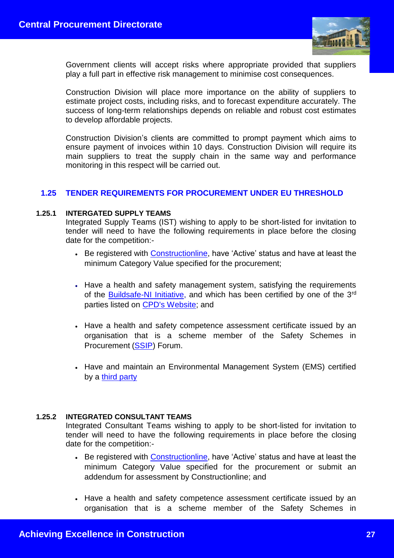

Government clients will accept risks where appropriate provided that suppliers play a full part in effective risk management to minimise cost consequences.

Construction Division will place more importance on the ability of suppliers to estimate project costs, including risks, and to forecast expenditure accurately. The success of long-term relationships depends on reliable and robust cost estimates to develop affordable projects.

Construction Division's clients are committed to prompt payment which aims to ensure payment of invoices within 10 days. Construction Division will require its main suppliers to treat the supply chain in the same way and performance monitoring in this respect will be carried out.

# **1.25 TENDER REQUIREMENTS FOR PROCUREMENT UNDER EU THRESHOLD**

#### **1.25.1 INTERGATED SUPPLY TEAMS**

Integrated Supply Teams (IST) wishing to apply to be short-listed for invitation to tender will need to have the following requirements in place before the closing date for the competition:-

- Be registered with **Constructionline**, have 'Active' status and have at least the minimum Category Value specified for the procurement;
- Have a health and safety management system, satisfying the requirements of the [Buildsafe-NI Initiative,](https://www.finance-ni.gov.uk/articles/introduction-buildsafe-ni-initiative) and which has been certified by one of the 3rd parties listed on [CPD's Website;](https://www.finance-ni.gov.uk/articles/buildsafe-ni-list-third-party-health-and-safety-certification-scheme-providers) and
- Have a health and safety competence assessment certificate issued by an organisation that is a scheme member of the Safety Schemes in Procurement [\(SSIP\)](http://www.ssip.org.uk/) Forum.
- Have and maintain an Environmental Management System (EMS) certified by a [third party](https://www.finance-ni.gov.uk/articles/environmental-management-systems-list-third-party-providers)

#### **1.25.2 INTEGRATED CONSULTANT TEAMS**

Integrated Consultant Teams wishing to apply to be short-listed for invitation to tender will need to have the following requirements in place before the closing date for the competition:-

- Be registered with [Constructionline,](http://www.constructionline.co.uk/) have 'Active' status and have at least the minimum Category Value specified for the procurement or submit an addendum for assessment by Constructionline; and
- Have a health and safety competence assessment certificate issued by an organisation that is a scheme member of the Safety Schemes in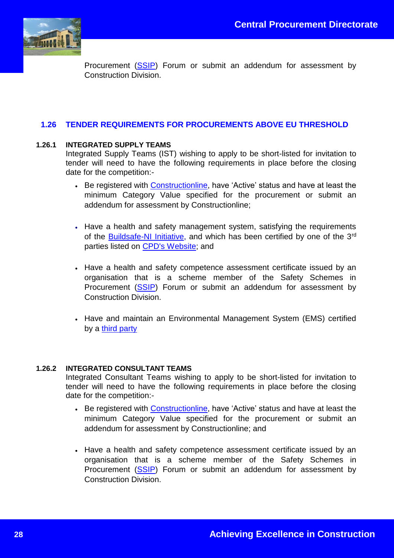

Procurement [\(SSIP\)](http://www.ssip.org.uk/) Forum or submit an addendum for assessment by Construction Division.

# **1.26 TENDER REQUIREMENTS FOR PROCUREMENTS ABOVE EU THRESHOLD**

### **1.26.1 INTEGRATED SUPPLY TEAMS**

Integrated Supply Teams (IST) wishing to apply to be short-listed for invitation to tender will need to have the following requirements in place before the closing date for the competition:-

- Be registered with [Constructionline,](http://www.constructionline.co.uk/) have 'Active' status and have at least the minimum Category Value specified for the procurement or submit an addendum for assessment by Constructionline;
- Have a health and safety management system, satisfying the requirements of the [Buildsafe-NI Initiative,](http://www.dfpni.gov.uk/index/procurement-2/cpd/cpd-policy-and-legislation/buildsafe-ni.htm) and which has been certified by one of the 3<sup>rd</sup> parties listed on [CPD's Website;](http://www.dfpni.gov.uk/index/procurement-2/cpd/cpd-policy-and-legislation/buildsafe-ni/third-party-cert.htm) and
- Have a health and safety competence assessment certificate issued by an organisation that is a scheme member of the Safety Schemes in Procurement [\(SSIP\)](http://www.ssip.org.uk/) Forum or submit an addendum for assessment by Construction Division.
- Have and maintain an Environmental Management System (EMS) certified by a [third party](https://www.finance-ni.gov.uk/articles/environmental-management-systems-list-third-party-providers)

#### **1.26.2 INTEGRATED CONSULTANT TEAMS**

Integrated Consultant Teams wishing to apply to be short-listed for invitation to tender will need to have the following requirements in place before the closing date for the competition:-

- Be registered with [Constructionline,](http://www.constructionline.co.uk/) have 'Active' status and have at least the minimum Category Value specified for the procurement or submit an addendum for assessment by Constructionline; and
- Have a health and safety competence assessment certificate issued by an organisation that is a scheme member of the Safety Schemes in Procurement [\(SSIP\)](http://www.ssip.org.uk/) Forum or submit an addendum for assessment by Construction Division.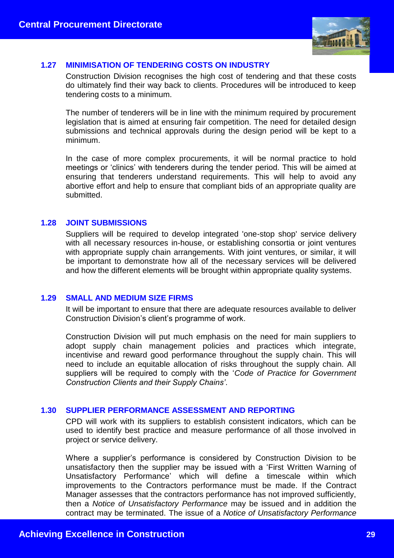

# **1.27 MINIMISATION OF TENDERING COSTS ON INDUSTRY**

Construction Division recognises the high cost of tendering and that these costs do ultimately find their way back to clients. Procedures will be introduced to keep tendering costs to a minimum.

The number of tenderers will be in line with the minimum required by procurement legislation that is aimed at ensuring fair competition. The need for detailed design submissions and technical approvals during the design period will be kept to a minimum.

In the case of more complex procurements, it will be normal practice to hold meetings or 'clinics' with tenderers during the tender period. This will be aimed at ensuring that tenderers understand requirements. This will help to avoid any abortive effort and help to ensure that compliant bids of an appropriate quality are submitted.

#### **1.28 JOINT SUBMISSIONS**

Suppliers will be required to develop integrated 'one-stop shop' service delivery with all necessary resources in-house, or establishing consortia or joint ventures with appropriate supply chain arrangements. With joint ventures, or similar, it will be important to demonstrate how all of the necessary services will be delivered and how the different elements will be brought within appropriate quality systems.

#### **1.29 SMALL AND MEDIUM SIZE FIRMS**

It will be important to ensure that there are adequate resources available to deliver Construction Division's client's programme of work.

Construction Division will put much emphasis on the need for main suppliers to adopt supply chain management policies and practices which integrate, incentivise and reward good performance throughout the supply chain. This will need to include an equitable allocation of risks throughout the supply chain. All suppliers will be required to comply with the '*Code of Practice for Government Construction Clients and their Supply Chains'*.

# **1.30 SUPPLIER PERFORMANCE ASSESSMENT AND REPORTING**

CPD will work with its suppliers to establish consistent indicators, which can be used to identify best practice and measure performance of all those involved in project or service delivery.

Where a supplier's performance is considered by Construction Division to be unsatisfactory then the supplier may be issued with a 'First Written Warning of Unsatisfactory Performance' which will define a timescale within which improvements to the Contractors performance must be made. If the Contract Manager assesses that the contractors performance has not improved sufficiently, then a *Notice of Unsatisfactory Performance* may be issued and in addition the contract may be terminated. The issue of a *Notice of Unsatisfactory Performance*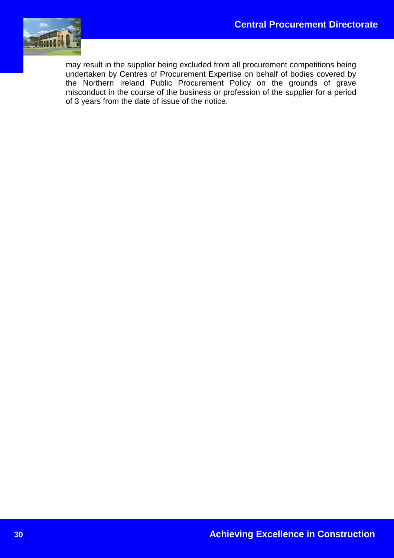

may result in the supplier being excluded from all procurement competitions being undertaken by Centres of Procurement Expertise on behalf of bodies covered by the Northern Ireland Public Procurement Policy on the grounds of grave misconduct in the course of the business or profession of the supplier for a period of 3 years from the date of issue of the notice.